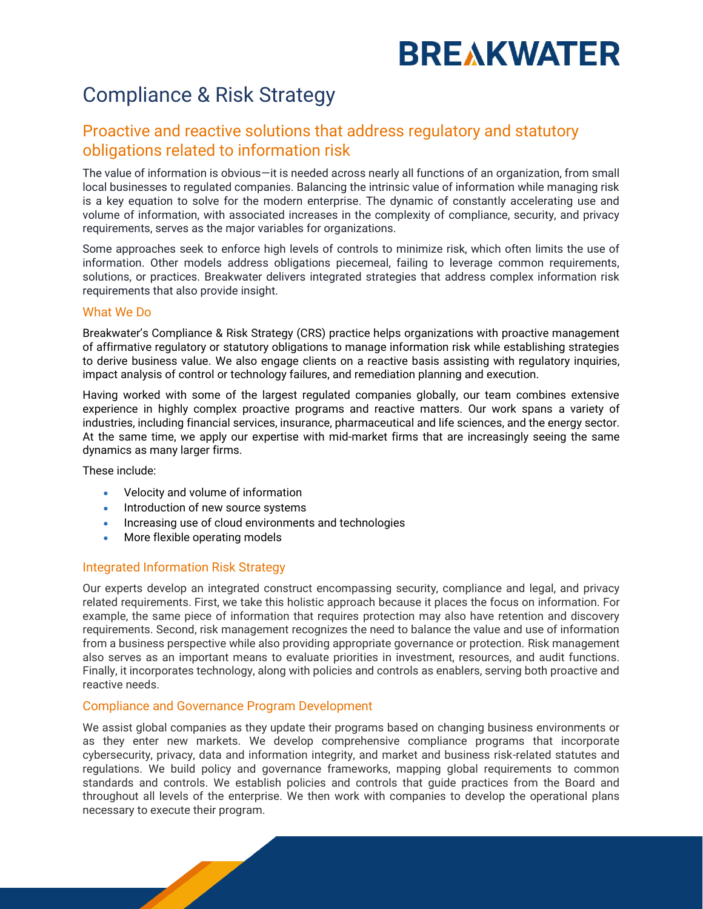# **BREAKWATER**

### Compliance & Risk Strategy

### Proactive and reactive solutions that address regulatory and statutory obligations related to information risk

The value of information is obvious—it is needed across nearly all functions of an organization, from small local businesses to regulated companies. Balancing the intrinsic value of information while managing risk is a key equation to solve for the modern enterprise. The dynamic of constantly accelerating use and volume of information, with associated increases in the complexity of compliance, security, and privacy requirements, serves as the major variables for organizations.

Some approaches seek to enforce high levels of controls to minimize risk, which often limits the use of information. Other models address obligations piecemeal, failing to leverage common requirements, solutions, or practices. Breakwater delivers integrated strategies that address complex information risk requirements that also provide insight.

### What We Do

Breakwater's Compliance & Risk Strategy (CRS) practice helps organizations with proactive management of affirmative regulatory or statutory obligations to manage information risk while establishing strategies to derive business value. We also engage clients on a reactive basis assisting with regulatory inquiries, impact analysis of control or technology failures, and remediation planning and execution.

Having worked with some of the largest regulated companies globally, our team combines extensive experience in highly complex proactive programs and reactive matters. Our work spans a variety of industries, including financial services, insurance, pharmaceutical and life sciences, and the energy sector. At the same time, we apply our expertise with mid-market firms that are increasingly seeing the same dynamics as many larger firms.

These include:

- Velocity and volume of information
- Introduction of new source systems
- Increasing use of cloud environments and technologies
- More flexible operating models

### Integrated Information Risk Strategy

Our experts develop an integrated construct encompassing security, compliance and legal, and privacy related requirements. First, we take this holistic approach because it places the focus on information. For example, the same piece of information that requires protection may also have retention and discovery requirements. Second, risk management recognizes the need to balance the value and use of information from a business perspective while also providing appropriate governance or protection. Risk management also serves as an important means to evaluate priorities in investment, resources, and audit functions. Finally, it incorporates technology, along with policies and controls as enablers, serving both proactive and reactive needs.

### Compliance and Governance Program Development

We assist global companies as they update their programs based on changing business environments or as they enter new markets. We develop comprehensive compliance programs that incorporate cybersecurity, privacy, data and information integrity, and market and business risk-related statutes and regulations. We build policy and governance frameworks, mapping global requirements to common standards and controls. We establish policies and controls that guide practices from the Board and throughout all levels of the enterprise. We then work with companies to develop the operational plans necessary to execute their program.